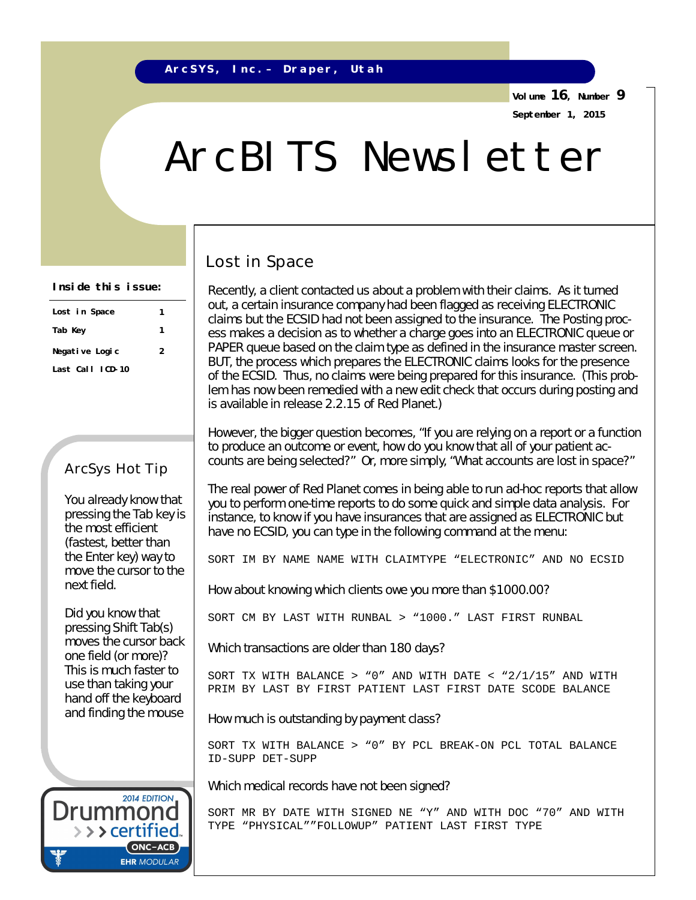**Volume 16, Number 9 September 1, 2015**

# ArcBITS Newsletter

#### **Inside this issue:**

| Lost in Space    | 1 |  |
|------------------|---|--|
| Tab Key          | 1 |  |
| Negative Logic   | 2 |  |
| Last Call ICD-10 |   |  |

#### ArcSys Hot Tip

You already know that pressing the Tab key is the most efficient (fastest, better than the Enter key) way to move the cursor to the next field.

Did you know that pressing Shift Tab(s) moves the cursor back one field (or more)? This is much faster to use than taking your hand off the keyboard and finding the mouse

#### Lost in Space

Recently, a client contacted us about a problem with their claims. As it turned out, a certain insurance company had been flagged as receiving ELECTRONIC claims but the ECSID had not been assigned to the insurance. The Posting process makes a decision as to whether a charge goes into an ELECTRONIC queue or PAPER queue based on the claim type as defined in the insurance master screen. BUT, the process which prepares the ELECTRONIC claims looks for the presence of the ECSID. Thus, no claims were being prepared for this insurance. (This problem has now been remedied with a new edit check that occurs during posting and is available in release 2.2.15 of Red Planet.)

However, the bigger question becomes, "If you are relying on a report or a function to produce an outcome or event, how do you know that all of your patient accounts are being selected?" Or, more simply, "What accounts are lost in space?"

The real power of Red Planet comes in being able to run ad-hoc reports that allow you to perform one-time reports to do some quick and simple data analysis. For instance, to know if you have insurances that are assigned as ELECTRONIC but have no ECSID, you can type in the following command *at the menu*:

SORT IM BY NAME NAME WITH CLAIMTYPE "ELECTRONIC" AND NO ECSID

How about knowing which clients owe you more than \$1000.00?

SORT CM BY LAST WITH RUNBAL > "1000." LAST FIRST RUNBAL

Which transactions are older than 180 days?

SORT TX WITH BALANCE >  $"0"$  and with date <  $"2/1/15"$  and with PRIM BY LAST BY FIRST PATIENT LAST FIRST DATE SCODE BALANCE

How much is outstanding by payment class?

SORT TX WITH BALANCE > "0" BY PCL BREAK-ON PCL TOTAL BALANCE ID-SUPP DET-SUPP

Which medical records have not been signed?

SORT MR BY DATE WITH SIGNED NE "Y" AND WITH DOC "70" AND WITH TYPE "PHYSICAL""FOLLOWUP" PATIENT LAST FIRST TYPE